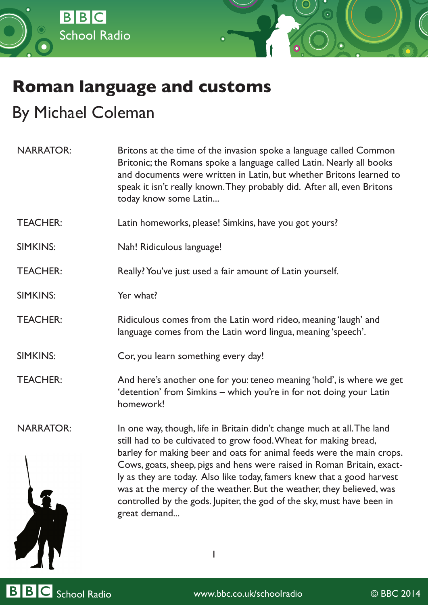

## **Roman language and customs**

## By Michael Coleman

| <b>NARRATOR:</b> | Britons at the time of the invasion spoke a language called Common<br>Britonic; the Romans spoke a language called Latin. Nearly all books<br>and documents were written in Latin, but whether Britons learned to<br>speak it isn't really known. They probably did. After all, even Britons<br>today know some Latin                                                                                                                                                                                                                      |
|------------------|--------------------------------------------------------------------------------------------------------------------------------------------------------------------------------------------------------------------------------------------------------------------------------------------------------------------------------------------------------------------------------------------------------------------------------------------------------------------------------------------------------------------------------------------|
| <b>TEACHER:</b>  | Latin homeworks, please! Simkins, have you got yours?                                                                                                                                                                                                                                                                                                                                                                                                                                                                                      |
| <b>SIMKINS:</b>  | Nah! Ridiculous language!                                                                                                                                                                                                                                                                                                                                                                                                                                                                                                                  |
| <b>TEACHER:</b>  | Really? You've just used a fair amount of Latin yourself.                                                                                                                                                                                                                                                                                                                                                                                                                                                                                  |
| <b>SIMKINS:</b>  | Yer what?                                                                                                                                                                                                                                                                                                                                                                                                                                                                                                                                  |
| <b>TEACHER:</b>  | Ridiculous comes from the Latin word rideo, meaning 'laugh' and<br>language comes from the Latin word lingua, meaning 'speech'.                                                                                                                                                                                                                                                                                                                                                                                                            |
| <b>SIMKINS:</b>  | Cor, you learn something every day!                                                                                                                                                                                                                                                                                                                                                                                                                                                                                                        |
| <b>TEACHER:</b>  | And here's another one for you: teneo meaning 'hold', is where we get<br>'detention' from Simkins - which you're in for not doing your Latin<br>homework!                                                                                                                                                                                                                                                                                                                                                                                  |
| <b>NARRATOR:</b> | In one way, though, life in Britain didn't change much at all. The land<br>still had to be cultivated to grow food. Wheat for making bread,<br>barley for making beer and oats for animal feeds were the main crops.<br>Cows, goats, sheep, pigs and hens were raised in Roman Britain, exact-<br>ly as they are today. Also like today, famers knew that a good harvest<br>was at the mercy of the weather. But the weather, they believed, was<br>controlled by the gods. Jupiter, the god of the sky, must have been in<br>great demand |

BBC School Radio www.bbc.co.uk/schoolradio © BBC 2014

ZIN